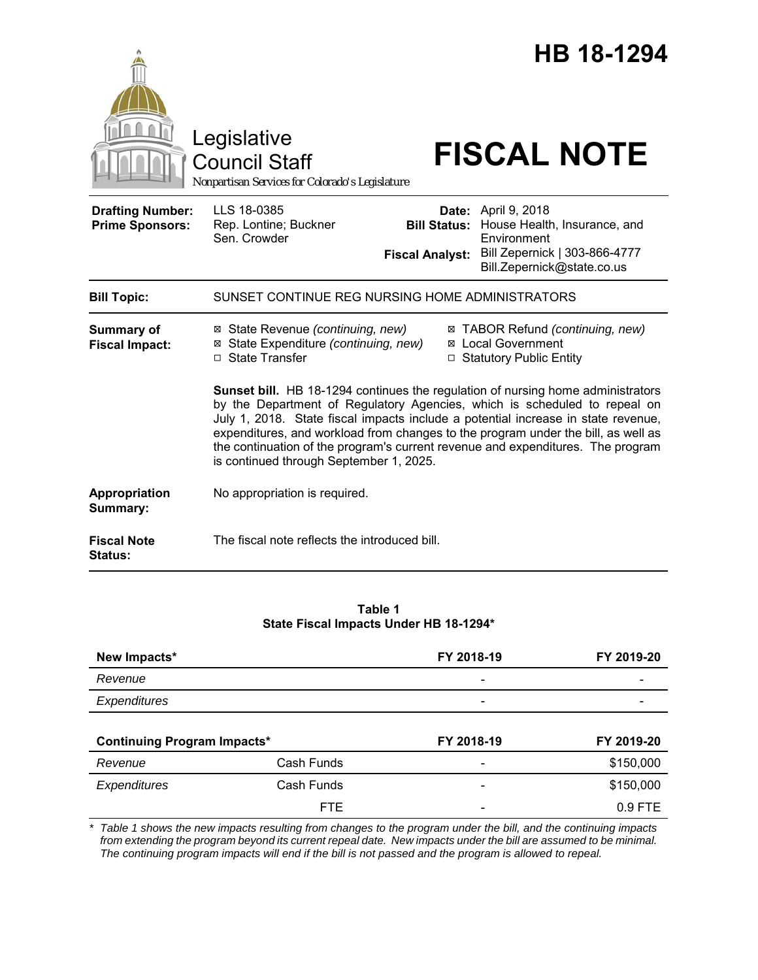|                                                   | Legislative<br><b>Council Staff</b><br>Nonpartisan Services for Colorado's Legislature                                                                                                                                                                                                                                                                                                                                                                               |                                                        | HB 18-1294<br><b>FISCAL NOTE</b>                                                                                            |  |  |
|---------------------------------------------------|----------------------------------------------------------------------------------------------------------------------------------------------------------------------------------------------------------------------------------------------------------------------------------------------------------------------------------------------------------------------------------------------------------------------------------------------------------------------|--------------------------------------------------------|-----------------------------------------------------------------------------------------------------------------------------|--|--|
| <b>Drafting Number:</b><br><b>Prime Sponsors:</b> | LLS 18-0385<br>Rep. Lontine; Buckner<br>Sen. Crowder                                                                                                                                                                                                                                                                                                                                                                                                                 | Date:<br><b>Bill Status:</b><br><b>Fiscal Analyst:</b> | April 9, 2018<br>House Health, Insurance, and<br>Environment<br>Bill Zepernick   303-866-4777<br>Bill.Zepernick@state.co.us |  |  |
| <b>Bill Topic:</b>                                | SUNSET CONTINUE REG NURSING HOME ADMINISTRATORS                                                                                                                                                                                                                                                                                                                                                                                                                      |                                                        |                                                                                                                             |  |  |
| <b>Summary of</b><br><b>Fiscal Impact:</b>        | ⊠ State Revenue (continuing, new)<br>⊠ State Expenditure (continuing, new)<br>□ State Transfer                                                                                                                                                                                                                                                                                                                                                                       |                                                        | ⊠ TABOR Refund (continuing, new)<br>⊠ Local Government<br>□ Statutory Public Entity                                         |  |  |
|                                                   | Sunset bill. HB 18-1294 continues the regulation of nursing home administrators<br>by the Department of Regulatory Agencies, which is scheduled to repeal on<br>July 1, 2018. State fiscal impacts include a potential increase in state revenue,<br>expenditures, and workload from changes to the program under the bill, as well as<br>the continuation of the program's current revenue and expenditures. The program<br>is continued through September 1, 2025. |                                                        |                                                                                                                             |  |  |
| Appropriation<br>Summary:                         | No appropriation is required.                                                                                                                                                                                                                                                                                                                                                                                                                                        |                                                        |                                                                                                                             |  |  |
| <b>Fiscal Note</b><br>Status:                     | The fiscal note reflects the introduced bill.                                                                                                                                                                                                                                                                                                                                                                                                                        |                                                        |                                                                                                                             |  |  |

### **Table 1 State Fiscal Impacts Under HB 18-1294\***

| New Impacts*                       |            | FY 2018-19                   | FY 2019-20               |
|------------------------------------|------------|------------------------------|--------------------------|
| Revenue                            |            | $\overline{\phantom{0}}$     | $\overline{\phantom{0}}$ |
| Expenditures                       |            | $\qquad \qquad \blacksquare$ |                          |
| <b>Continuing Program Impacts*</b> |            | FY 2018-19<br>-              | FY 2019-20               |
| Revenue                            | Cash Funds |                              | \$150,000                |
| Expenditures                       | Cash Funds |                              | \$150,000                |
|                                    | FTE.       |                              | $0.9$ FTE                |

*\* Table 1 shows the new impacts resulting from changes to the program under the bill, and the continuing impacts from extending the program beyond its current repeal date. New impacts under the bill are assumed to be minimal. The continuing program impacts will end if the bill is not passed and the program is allowed to repeal.*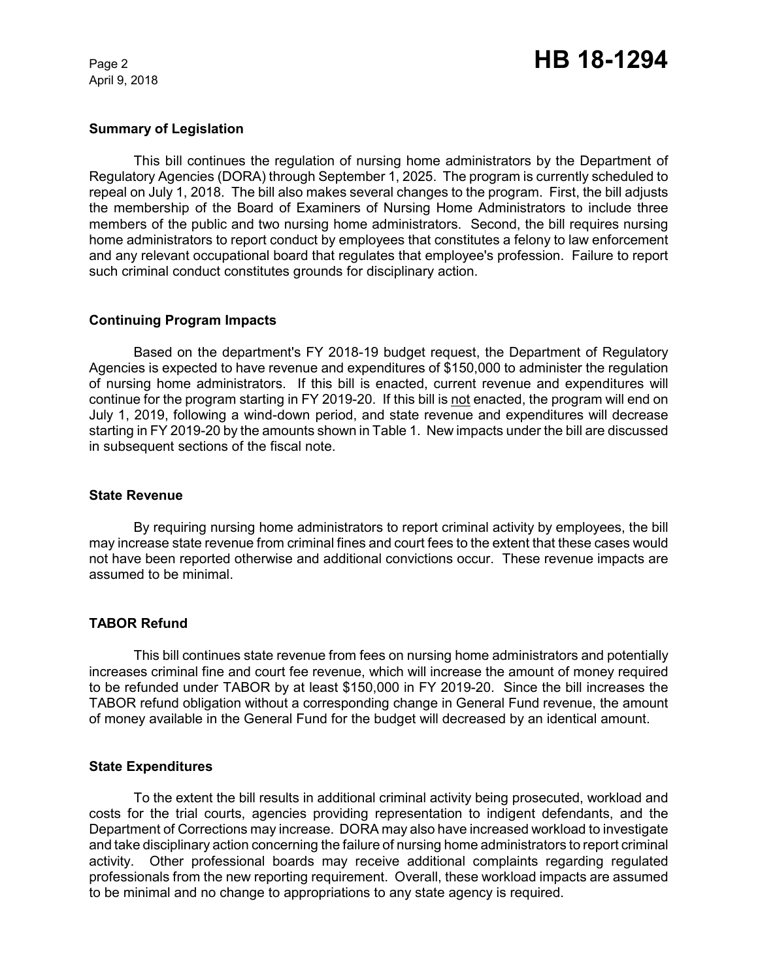April 9, 2018

### **Summary of Legislation**

This bill continues the regulation of nursing home administrators by the Department of Regulatory Agencies (DORA) through September 1, 2025. The program is currently scheduled to repeal on July 1, 2018. The bill also makes several changes to the program. First, the bill adjusts the membership of the Board of Examiners of Nursing Home Administrators to include three members of the public and two nursing home administrators. Second, the bill requires nursing home administrators to report conduct by employees that constitutes a felony to law enforcement and any relevant occupational board that regulates that employee's profession. Failure to report such criminal conduct constitutes grounds for disciplinary action.

### **Continuing Program Impacts**

Based on the department's FY 2018-19 budget request, the Department of Regulatory Agencies is expected to have revenue and expenditures of \$150,000 to administer the regulation of nursing home administrators. If this bill is enacted, current revenue and expenditures will continue for the program starting in FY 2019-20. If this bill is not enacted, the program will end on July 1, 2019, following a wind-down period, and state revenue and expenditures will decrease starting in FY 2019-20 by the amounts shown in Table 1. New impacts under the bill are discussed in subsequent sections of the fiscal note.

#### **State Revenue**

By requiring nursing home administrators to report criminal activity by employees, the bill may increase state revenue from criminal fines and court fees to the extent that these cases would not have been reported otherwise and additional convictions occur. These revenue impacts are assumed to be minimal.

### **TABOR Refund**

This bill continues state revenue from fees on nursing home administrators and potentially increases criminal fine and court fee revenue, which will increase the amount of money required to be refunded under TABOR by at least \$150,000 in FY 2019-20. Since the bill increases the TABOR refund obligation without a corresponding change in General Fund revenue, the amount of money available in the General Fund for the budget will decreased by an identical amount.

#### **State Expenditures**

To the extent the bill results in additional criminal activity being prosecuted, workload and costs for the trial courts, agencies providing representation to indigent defendants, and the Department of Corrections may increase. DORA may also have increased workload to investigate and take disciplinary action concerning the failure of nursing home administrators to report criminal activity. Other professional boards may receive additional complaints regarding regulated professionals from the new reporting requirement. Overall, these workload impacts are assumed to be minimal and no change to appropriations to any state agency is required.